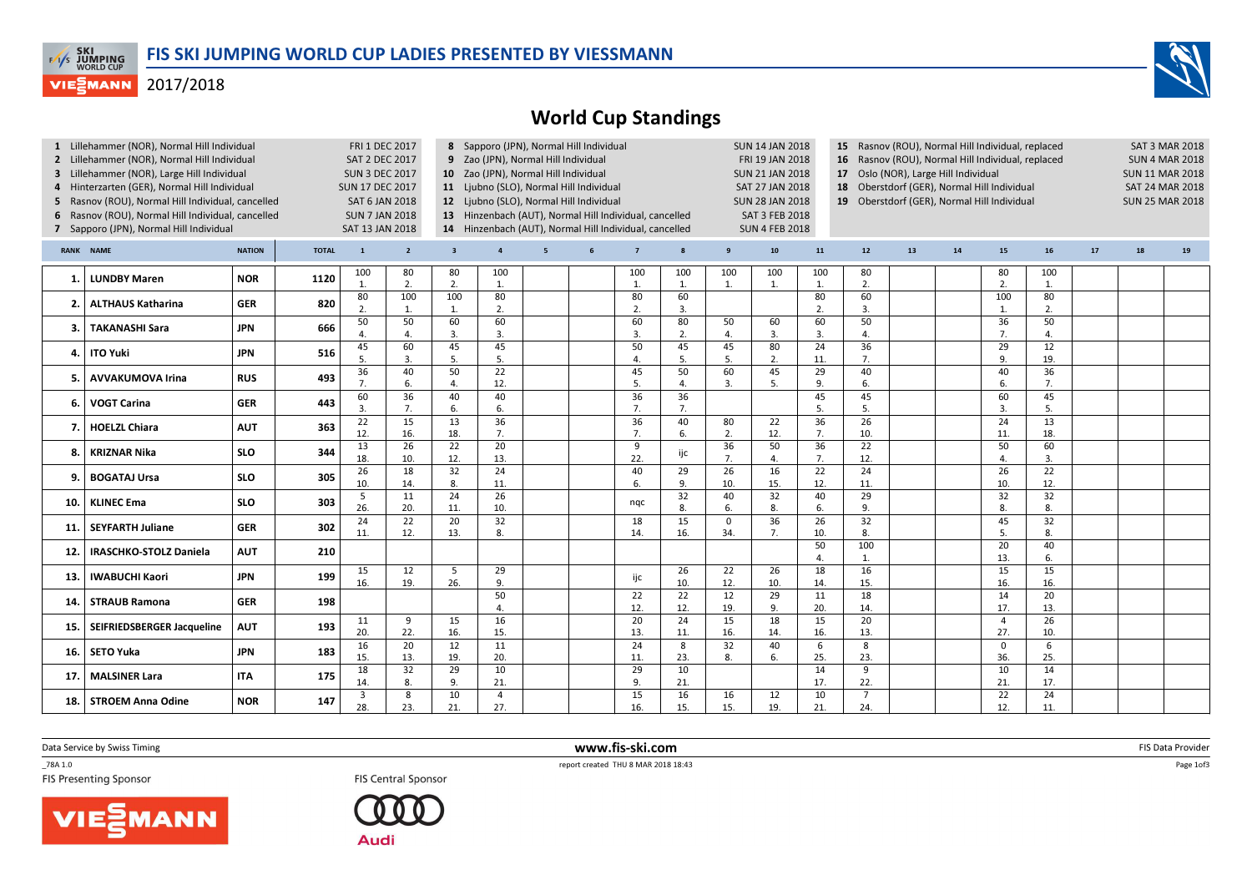

## 2017/2018



|                                              | Lillehammer (NOR), Normal Hill Individual         |               |              | <b>FRI 1 DEC 2017</b>                                                                                    |                       |                                                        | 8 Sapporo (JPN), Normal Hill Individual |                 |   |                       |                  |                                                                   | <b>SUN 14 JAN 2018</b> |                        | 15 Rasnov (ROU), Normal Hill Individual, replaced |    |                                          |                                                                            |                        |                        |    | <b>SAT 3 MAR 2018</b> |  |
|----------------------------------------------|---------------------------------------------------|---------------|--------------|----------------------------------------------------------------------------------------------------------|-----------------------|--------------------------------------------------------|-----------------------------------------|-----------------|---|-----------------------|------------------|-------------------------------------------------------------------|------------------------|------------------------|---------------------------------------------------|----|------------------------------------------|----------------------------------------------------------------------------|------------------------|------------------------|----|-----------------------|--|
| 2 Lillehammer (NOR), Normal Hill Individual  |                                                   |               |              | <b>SAT 2 DEC 2017</b>                                                                                    |                       |                                                        | 9 Zao (JPN), Normal Hill Individual     |                 |   |                       |                  |                                                                   | FRI 19 JAN 2018        |                        |                                                   |    |                                          | 16 Rasnov (ROU), Normal Hill Individual, replaced<br><b>SUN 4 MAR 2018</b> |                        |                        |    |                       |  |
| 3 Lillehammer (NOR), Large Hill Individual   |                                                   |               |              | 10 Zao (JPN), Normal Hill Individual                                                                     |                       |                                                        |                                         |                 |   |                       |                  | <b>SUN 21 JAN 2018</b><br>Oslo (NOR), Large Hill Individual<br>17 |                        |                        |                                                   |    |                                          |                                                                            | <b>SUN 11 MAR 2018</b> |                        |    |                       |  |
| 4 Hinterzarten (GER), Normal Hill Individual |                                                   |               |              | <b>SUN 17 DEC 2017</b>                                                                                   |                       | 11 Ljubno (SLO), Normal Hill Individual                |                                         |                 |   |                       |                  |                                                                   | SAT 27 JAN 2018<br>18  |                        |                                                   |    | Oberstdorf (GER), Normal Hill Individual |                                                                            |                        | SAT 24 MAR 2018        |    |                       |  |
|                                              | 5 Rasnov (ROU), Normal Hill Individual, cancelled |               |              | <b>SAT 6 JAN 2018</b>                                                                                    |                       |                                                        | 12 Ljubno (SLO), Normal Hill Individual |                 |   |                       |                  |                                                                   |                        | <b>SUN 28 JAN 2018</b> | 19 Oberstdorf (GER), Normal Hill Individual       |    |                                          |                                                                            |                        | <b>SUN 25 MAR 2018</b> |    |                       |  |
| 6                                            | Rasnov (ROU), Normal Hill Individual, cancelled   |               |              | <b>SUN 7 JAN 2018</b><br>13 Hinzenbach (AUT), Normal Hill Individual, cancelled<br><b>SAT 3 FEB 2018</b> |                       |                                                        |                                         |                 |   |                       |                  |                                                                   |                        |                        |                                                   |    |                                          |                                                                            |                        |                        |    |                       |  |
|                                              | 7 Sapporo (JPN), Normal Hill Individual           |               |              | SAT 13 JAN 2018                                                                                          |                       | 14 Hinzenbach (AUT), Normal Hill Individual, cancelled |                                         |                 |   |                       |                  |                                                                   | <b>SUN 4 FEB 2018</b>  |                        |                                                   |    |                                          |                                                                            |                        |                        |    |                       |  |
|                                              |                                                   |               |              |                                                                                                          |                       |                                                        |                                         |                 |   |                       |                  |                                                                   |                        |                        |                                                   |    |                                          |                                                                            |                        |                        |    |                       |  |
|                                              | <b>RANK NAME</b>                                  | <b>NATION</b> | <b>TOTAL</b> | $\mathbf{1}$                                                                                             | $\overline{2}$        | $\overline{\mathbf{3}}$                                | $\overline{4}$                          | $5\overline{5}$ | 6 | $\overline{7}$        | $\boldsymbol{8}$ | 9                                                                 | ${\bf 10}$             | 11                     | 12                                                | 13 | 14                                       | 15                                                                         | 16                     | 17                     | 18 | 19                    |  |
| 1.                                           | <b>LUNDBY Maren</b>                               | <b>NOR</b>    | 1120         | 100<br>$\mathbf{1}$                                                                                      | 80<br>2.              | 80<br>2.                                               | 100<br>1.                               |                 |   | 100<br>1.             | 100<br>1.        | 100<br>1.                                                         | 100<br>1.              | 100<br>$\mathbf{1}$    | 80<br>2.                                          |    |                                          | 80<br>2.                                                                   | 100<br>1.              |                        |    |                       |  |
| 2.                                           | <b>ALTHAUS Katharina</b>                          | <b>GER</b>    | 820          | 80<br>2.                                                                                                 | 100<br>1.             | 100<br>1.                                              | 80<br>2.                                |                 |   | 80<br>2.              | 60<br>3.         |                                                                   |                        | 80<br>$\overline{2}$ . | 60<br>$\overline{3}$ .                            |    |                                          | 100<br>$\mathbf{1}$                                                        | 80<br>2.               |                        |    |                       |  |
|                                              |                                                   |               |              | 50                                                                                                       | 50                    | 60                                                     | 60                                      |                 |   | 60                    | 80               | 50                                                                | 60                     | 60                     | 50                                                |    |                                          | 36                                                                         | 50                     |                        |    |                       |  |
| з                                            | <b>TAKANASHI Sara</b>                             | <b>JPN</b>    | 666          |                                                                                                          | $\overline{4}$        | 3.                                                     | 3.                                      |                 |   | 3.                    | 2.               | $\overline{4}$ .                                                  | 3.                     | $\overline{3}$         | $\overline{4}$                                    |    |                                          | 7.                                                                         | 4.                     |                        |    |                       |  |
|                                              |                                                   |               |              | 45                                                                                                       | 60                    | 45                                                     | 45                                      |                 |   | 50                    | 45               | 45                                                                | 80                     | 24                     | 36                                                |    |                                          | 29                                                                         | 12                     |                        |    |                       |  |
| 4.                                           | <b>ITO Yuki</b>                                   | <b>JPN</b>    | 516          | $\overline{\phantom{0}}$                                                                                 | $\overline{3}$        | 5.                                                     | 5.                                      |                 |   | 4.                    | 5.               | 5.                                                                | 2.                     | 11.                    | 7.                                                |    |                                          | 9.                                                                         | 19.                    |                        |    |                       |  |
|                                              |                                                   |               |              | 36                                                                                                       | 40                    | 50                                                     | 22                                      |                 |   | 45                    | 50               | 60                                                                | 45                     | 29                     | 40                                                |    |                                          | 40                                                                         | 36                     |                        |    |                       |  |
| 5.                                           | <b>AVVAKUMOVA Irina</b>                           | <b>RUS</b>    | 493          |                                                                                                          | 6.                    | 4.                                                     | 12.                                     |                 |   | 5.                    | 4.               | 3.                                                                | 5.                     | 9.                     | 6.                                                |    |                                          | 6.                                                                         | 7.                     |                        |    |                       |  |
| 6.                                           | <b>VOGT Carina</b>                                | <b>GER</b>    | 443          | 60<br>$\overline{3}$                                                                                     | $\overline{36}$<br>7. | 40<br>6.                                               | 40<br>6.                                |                 |   | $\overline{36}$<br>7. | 36<br>7.         |                                                                   |                        | 45<br>5.               | 45<br>5.                                          |    |                                          | 60<br>$\overline{3}$                                                       | 45<br>5.               |                        |    |                       |  |
|                                              |                                                   |               |              | 22                                                                                                       | 15                    | 13                                                     | 36                                      |                 |   | 36                    | 40               | 80                                                                | 22                     | 36                     | 26                                                |    |                                          | 24                                                                         | 13                     |                        |    |                       |  |
| 7                                            | <b>HOELZL Chiara</b>                              | <b>AUT</b>    | 363          | 12.                                                                                                      | 16.                   | 18.                                                    | 7.                                      |                 |   | 7.                    | 6.               | 2.                                                                | 12.                    | 7.                     | 10.                                               |    |                                          | 11                                                                         | 18.                    |                        |    |                       |  |
|                                              |                                                   |               |              | 13                                                                                                       | 26                    | 22                                                     | 20                                      |                 |   | 9                     |                  | 36                                                                | 50                     | 36                     | 22                                                |    |                                          | 50                                                                         | 60                     |                        |    |                       |  |
| 8                                            | <b>KRIZNAR Nika</b>                               | <b>SLO</b>    | 344          | 18.                                                                                                      | 10.                   | 12.                                                    | 13.                                     |                 |   | 22.                   | ijc              | 7.                                                                | $\mathbf{4}$           | 7.                     | 12.                                               |    |                                          | $\overline{4}$                                                             | 3.                     |                        |    |                       |  |
| 9.                                           | <b>BOGATAJ Ursa</b>                               | <b>SLO</b>    | 305          | 26                                                                                                       | 18                    | 32                                                     | 24                                      |                 |   | 40                    | 29               | $\overline{26}$                                                   | 16                     | $\overline{22}$        | $\overline{24}$                                   |    |                                          | $\overline{26}$                                                            | $\overline{22}$        |                        |    |                       |  |
|                                              |                                                   |               |              | 10.                                                                                                      | 14.                   | 8.                                                     | 11.                                     |                 |   | 6.                    | 9.               | 10.                                                               | 15.                    | 12.                    | 11.                                               |    |                                          | 10.                                                                        | 12.                    |                        |    |                       |  |
| 10.                                          | <b>KLINEC Ema</b>                                 | <b>SLO</b>    | 303          | 5                                                                                                        | 11                    | 24                                                     | 26                                      |                 |   | nqc                   | 32               | 40                                                                | 32                     | 40                     | 29                                                |    |                                          | 32                                                                         | 32                     |                        |    |                       |  |
|                                              |                                                   |               |              | 26.                                                                                                      | 20.                   | 11.                                                    | 10.                                     |                 |   |                       | 8.               | 6.                                                                | 8.                     | 6.                     | 9.                                                |    |                                          | 8.                                                                         | 8.                     |                        |    |                       |  |
| 11.                                          | <b>SEYFARTH Juliane</b>                           | <b>GER</b>    | 302          | 24                                                                                                       | 22                    | 20                                                     | 32                                      |                 |   | 18                    | 15               | 0                                                                 | 36                     | 26                     | $\overline{32}$                                   |    |                                          | 45                                                                         | 32                     |                        |    |                       |  |
|                                              |                                                   |               |              | 11.                                                                                                      | 12.                   | 13.                                                    | 8.                                      |                 |   | 14.                   | 16.              | 34.                                                               | 7.                     | 10.                    | -8.                                               |    |                                          | 5.                                                                         | 8.                     |                        |    |                       |  |
| 12.                                          | <b>IRASCHKO-STOLZ Daniela</b>                     | <b>AUT</b>    | 210          |                                                                                                          |                       |                                                        |                                         |                 |   |                       |                  |                                                                   |                        | 50                     | 100                                               |    |                                          | 20                                                                         | 40                     |                        |    |                       |  |
|                                              |                                                   |               |              |                                                                                                          |                       |                                                        |                                         |                 |   |                       |                  |                                                                   |                        | $\overline{4}$ .       | $\mathbf{1}$ .                                    |    |                                          | 13.                                                                        | 6.                     |                        |    |                       |  |
| 13.                                          | <b>IWABUCHI Kaori</b>                             | <b>JPN</b>    | 199          | 15<br>16.                                                                                                | 12<br>19.             | 5<br>26.                                               | 29<br>9.                                |                 |   | ijc                   | 26<br>10.        | 22<br>12.                                                         | 26<br>10.              | 18<br>14.              | 16<br>15.                                         |    |                                          | 15<br>16.                                                                  | 15<br>16.              |                        |    |                       |  |
|                                              |                                                   |               |              |                                                                                                          |                       |                                                        | 50                                      |                 |   | 22                    | 22               | $\overline{12}$                                                   | $\overline{29}$        | $\overline{11}$        | 18                                                |    |                                          | 14                                                                         | $\overline{20}$        |                        |    |                       |  |
| 14.                                          | <b>STRAUB Ramona</b>                              | <b>GER</b>    | 198          |                                                                                                          |                       |                                                        | 4.                                      |                 |   | 12.                   | 12.              | 19.                                                               | 9.                     | 20.                    | 14.                                               |    |                                          | 17.                                                                        | 13.                    |                        |    |                       |  |
|                                              |                                                   |               |              | 11                                                                                                       | 9                     | 15                                                     | 16                                      |                 |   | 20                    | 24               | 15                                                                | 18                     | 15                     | $\overline{20}$                                   |    |                                          | $\overline{4}$                                                             | $\overline{26}$        |                        |    |                       |  |
| 15.                                          | SEIFRIEDSBERGER Jacqueline                        | <b>AUT</b>    | 193          | 20.                                                                                                      | 22.                   | 16.                                                    | 15.                                     |                 |   | 13.                   | 11.              | 16.                                                               | 14.                    | 16.                    | 13.                                               |    |                                          | 27.                                                                        | 10.                    |                        |    |                       |  |
|                                              |                                                   |               |              | 16                                                                                                       | $\overline{20}$       | $\overline{12}$                                        | 11                                      |                 |   | 24                    | 8                | 32                                                                | 40                     | 6                      | 8                                                 |    |                                          | 0                                                                          | 6                      |                        |    |                       |  |
| 16.                                          | SETO Yuka                                         | <b>JPN</b>    | 183          | 15.                                                                                                      | 13.                   | 19.                                                    | 20.                                     |                 |   | 11.                   | 23.              | 8.                                                                | 6.                     | 25.                    | 23.                                               |    |                                          | 36.                                                                        | 25.                    |                        |    |                       |  |
|                                              |                                                   |               |              | 18                                                                                                       | 32                    | 29                                                     | 10                                      |                 |   | 29                    | 10               |                                                                   |                        | 14                     | 9                                                 |    |                                          | 10                                                                         | 14                     |                        |    |                       |  |
| 17.                                          | <b>MALSINER Lara</b>                              | <b>ITA</b>    | 175          | 14                                                                                                       | 8.                    | 9.                                                     | 21.                                     |                 |   | 9.                    | 21.              |                                                                   |                        | 17.                    | 22.                                               |    |                                          | 21.                                                                        | 17.                    |                        |    |                       |  |
|                                              | 18. STROEM Anna Odine                             | <b>NOR</b>    | 147          | $\overline{\mathbf{3}}$                                                                                  | 8                     | 10                                                     | $\overline{4}$                          |                 |   | 15                    | 16               | 16                                                                | 12                     | 10                     | $\overline{7}$                                    |    |                                          | 22                                                                         | 24                     |                        |    |                       |  |
|                                              |                                                   |               |              | 28.                                                                                                      | 23.                   | 21.                                                    | 27.                                     |                 |   | 16.                   | 15.              | 15.                                                               | 19.                    | 21.                    | 24.                                               |    |                                          | 12.                                                                        | 11.                    |                        |    |                       |  |

Data Service by Swiss Timing

\_78A 1.0

**FIS Presenting Sponsor** 

**FIS Central Sponsor** 





 www.fis-ski.comreport created THU 8 MAR 2018 18:43

m FIS Data Provider<br>Parado and the contract of the contract of the contract of the contract of the contract of the contract of the<br>Parado and the contract of the contract of the contract of the contract of the contract of



Page 1of3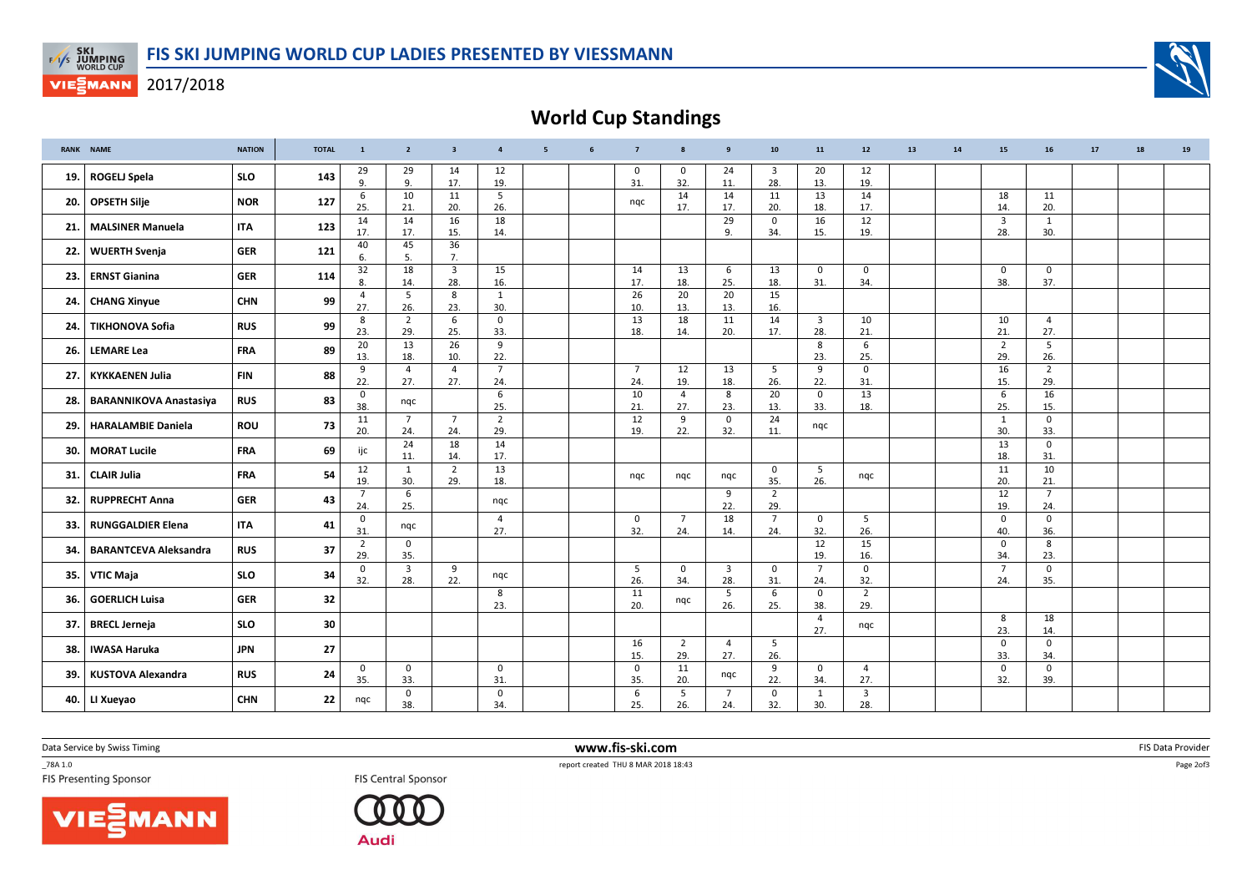

## **VIESMANN** 2017/2018



World Cup Standings

|       | RANK NAME                     | <b>NATION</b> | <b>TOTAL</b> | $\mathbf{1}$           | $\overline{2}$        | $\overline{\mathbf{3}}$        | $\overline{4}$         | 5 <sub>5</sub> | 6 | $\overline{7}$        | 8                     | 9                     | 10                             | 11                    | 12                    | 13 | 14 | 15                    | 16                    | 17 | 18 | 19 |
|-------|-------------------------------|---------------|--------------|------------------------|-----------------------|--------------------------------|------------------------|----------------|---|-----------------------|-----------------------|-----------------------|--------------------------------|-----------------------|-----------------------|----|----|-----------------------|-----------------------|----|----|----|
| 19.   | <b>ROGELJ Spela</b>           | <b>SLO</b>    | 143          | 29<br>9.               | 29<br>9.              | 14<br>17.                      | 12<br>19.              |                |   | $\mathbf 0$<br>31.    | 0<br>32.              | 24<br>11.             | $\overline{\mathbf{3}}$<br>28. | 20<br>13.             | 12<br>19.             |    |    |                       |                       |    |    |    |
|       | 20. OPSETH Silje              | <b>NOR</b>    | 127          | 6<br>25.               | 10<br>21.             | 11<br>20.                      | 5<br>26.               |                |   | ngc                   | 14<br>17.             | 14<br>17.             | 11<br>20.                      | 13<br>18.             | 14<br>17.             |    |    | 18<br>14              | 11<br>20.             |    |    |    |
| 21. l | <b>MALSINER Manuela</b>       | <b>ITA</b>    | 123          | $\overline{14}$<br>17. | 14<br>17.             | 16<br>15.                      | 18<br>14.              |                |   |                       |                       | 29<br>9.              | 0<br>34.                       | 16<br>15.             | 12<br>19.             |    |    | $\overline{3}$<br>28. | 1<br>30.              |    |    |    |
| 22.1  | <b>WUERTH Svenja</b>          | <b>GER</b>    | 121          | 40<br>6.               | 45<br>5.              | 36<br>7.                       |                        |                |   |                       |                       |                       |                                |                       |                       |    |    |                       |                       |    |    |    |
| 23.1  | <b>ERNST Gianina</b>          | <b>GER</b>    | 114          | 32<br>8.               | 18<br>14.             | $\overline{\mathbf{3}}$<br>28. | 15<br>16.              |                |   | 14<br>17.             | 13<br>18.             | 6<br>25.              | 13<br>18.                      | $\mathbf{0}$<br>31.   | $\mathbf 0$<br>34.    |    |    | $\mathbf 0$<br>38.    | 0<br>37.              |    |    |    |
|       | 24. CHANG Xinyue              | <b>CHN</b>    | 99           | $\overline{4}$<br>27.  | 5<br>26.              | 8<br>23.                       | 1<br>30.               |                |   | 26<br>10.             | 20<br>13.             | 20<br>13.             | 15<br>16.                      |                       |                       |    |    |                       |                       |    |    |    |
| 24.   | <b>TIKHONOVA Sofia</b>        | <b>RUS</b>    | 99           | 8<br>23.               | $\overline{2}$<br>29. | 6<br>25.                       | 0<br>33.               |                |   | 13<br>18.             | 18<br>14.             | 11<br>20.             | 14<br>17.                      | $\overline{3}$<br>28. | 10<br>21.             |    |    | 10<br>21.             | $\overline{4}$<br>27. |    |    |    |
| 26.   | <b>LEMARE Lea</b>             | <b>FRA</b>    | 89           | 20<br>13.              | 13<br>18.             | 26<br>10.                      | 9<br>22.               |                |   |                       |                       |                       |                                | 8<br>23.              | 6<br>25.              |    |    | $\overline{2}$<br>29. | 5<br>26.              |    |    |    |
| 27.1  | <b>KYKKAENEN Julia</b>        | <b>FIN</b>    | 88           | 9<br>22.               | $\overline{4}$<br>27. | $\overline{4}$<br>27.          | $7\overline{ }$<br>24. |                |   | $\overline{7}$<br>24. | 12<br>19.             | 13<br>18.             | 5<br>26.                       | 9<br>22.              | $\mathbf 0$<br>31.    |    |    | 16<br>15.             | $\overline{2}$<br>29. |    |    |    |
| 28.   | <b>BARANNIKOVA Anastasiya</b> | <b>RUS</b>    | 83           | $\mathbf 0$<br>38.     | nqc                   |                                | 6<br>25.               |                |   | 10<br>21.             | $\overline{4}$<br>27. | 8<br>23.              | 20<br>13.                      | 0<br>33.              | 13<br>18.             |    |    | 6<br>25.              | 16<br>15.             |    |    |    |
| 29.   | <b>HARALAMBIE Daniela</b>     | <b>ROU</b>    | 73           | 11<br>20.              | $\overline{7}$<br>24. | $\overline{7}$<br>24.          | $\overline{2}$<br>29.  |                |   | 12<br>19.             | 9<br>22.              | 0<br>32.              | 24<br>11.                      | nqc                   |                       |    |    | 1<br>30.              | 0<br>33.              |    |    |    |
| 30.   | <b>MORAT Lucile</b>           | <b>FRA</b>    | 69           | ijc                    | 24<br>11.             | 18<br>14.                      | 14<br>17.              |                |   |                       |                       |                       |                                |                       |                       |    |    | 13<br>18.             | $\mathbf 0$<br>31.    |    |    |    |
| 31.1  | <b>CLAIR Julia</b>            | <b>FRA</b>    | 54           | 12<br>19.              | 1<br>30.              | $\overline{2}$<br>29.          | 13<br>18.              |                |   | ngc                   | ngc                   | nqc                   | 0<br>35.                       | 5<br>26.              | ngc                   |    |    | 11<br>20.             | 10<br>21.             |    |    |    |
| 32.   | <b>RUPPRECHT Anna</b>         | <b>GER</b>    | 43           | $\overline{7}$<br>24.  | 6<br>25.              |                                | nqc                    |                |   |                       |                       | 9<br>22.              | $\overline{2}$<br>29.          |                       |                       |    |    | 12<br>19.             | $\overline{7}$<br>24. |    |    |    |
| 33.1  | <b>RUNGGALDIER Elena</b>      | <b>ITA</b>    | 41           | $\mathbf 0$<br>31      | nqc                   |                                | $\overline{4}$<br>27.  |                |   | $\mathbf 0$<br>32.    | $\overline{7}$<br>24. | 18<br>14.             | $\overline{7}$<br>24.          | $\mathbf{0}$<br>32.   | 5<br>26.              |    |    | $\mathbf 0$<br>40.    | $\mathbf 0$<br>36.    |    |    |    |
| 34.   | <b>BARANTCEVA Aleksandra</b>  | <b>RUS</b>    | 37           | $\overline{2}$<br>29.  | 0<br>35.              |                                |                        |                |   |                       |                       |                       |                                | 12<br>19.             | 15<br>16.             |    |    | $\mathbf 0$<br>34.    | 8<br>23.              |    |    |    |
| 35.   | VTIC Maja                     | <b>SLO</b>    | 34           | $\mathbf 0$<br>32.     | 3<br>28.              | 9<br>22.                       | ngc                    |                |   | 5<br>26.              | 0<br>34.              | $\overline{3}$<br>28. | $\mathbf 0$<br>31.             | $\overline{7}$<br>24. | $\mathbf 0$<br>32.    |    |    | $\overline{7}$<br>24. | 0<br>35.              |    |    |    |
| 36.   | <b>GOERLICH Luisa</b>         | <b>GER</b>    | 32           |                        |                       |                                | 8<br>23.               |                |   | 11<br>20.             | nqc                   | 5<br>26.              | 6<br>25.                       | 0<br>38.              | $\overline{2}$<br>29. |    |    |                       |                       |    |    |    |
| 37.   | <b>BRECL Jerneja</b>          | <b>SLO</b>    | 30           |                        |                       |                                |                        |                |   |                       |                       |                       |                                | $\overline{4}$<br>27. | ngc                   |    |    | 8<br>23.              | 18<br>14.             |    |    |    |
| 38.   | <b>IWASA Haruka</b>           | <b>JPN</b>    | 27           |                        |                       |                                |                        |                |   | 16<br>15.             | 2<br>29.              | $\overline{4}$<br>27. | 5<br>26.                       |                       |                       |    |    | $\mathbf 0$<br>33.    | 0<br>34.              |    |    |    |
| 39.   | <b>KUSTOVA Alexandra</b>      | <b>RUS</b>    | 24           | 0<br>35.               | 0<br>33.              |                                | 0<br>31.               |                |   | $\mathbf 0$<br>35.    | 11<br>20.             | nqc                   | 9<br>22.                       | $\mathbf 0$<br>34.    | $\overline{a}$<br>27. |    |    | $\mathbf 0$<br>32.    | 0<br>39.              |    |    |    |
|       | 40. LI Xueyao                 | <b>CHN</b>    | 22           | nqc                    | 0<br>38.              |                                | $\mathbf 0$<br>34.     |                |   | 6<br>25.              | 5<br>26.              | $\overline{7}$<br>24. | 0<br>32.                       | $\mathbf{1}$<br>30.   | 3<br>28.              |    |    |                       |                       |    |    |    |

Data Service by Swiss Timing

\_78A 1.0

**FIS Central Sponsor** 

VIESMANN



 www.fis-ski.comTES Central Sponsor FIS Central Sponsor FIS Central Sponsor FIS Presenting Sponsor FIS Presenting Sponsor

m FIS Data Provider<br>Particular and the contract of the contract of the contract of the contract of the contract of the contract of<br>Particular and the contract of the contract of the contract of the contract of the contract

Page 2of3